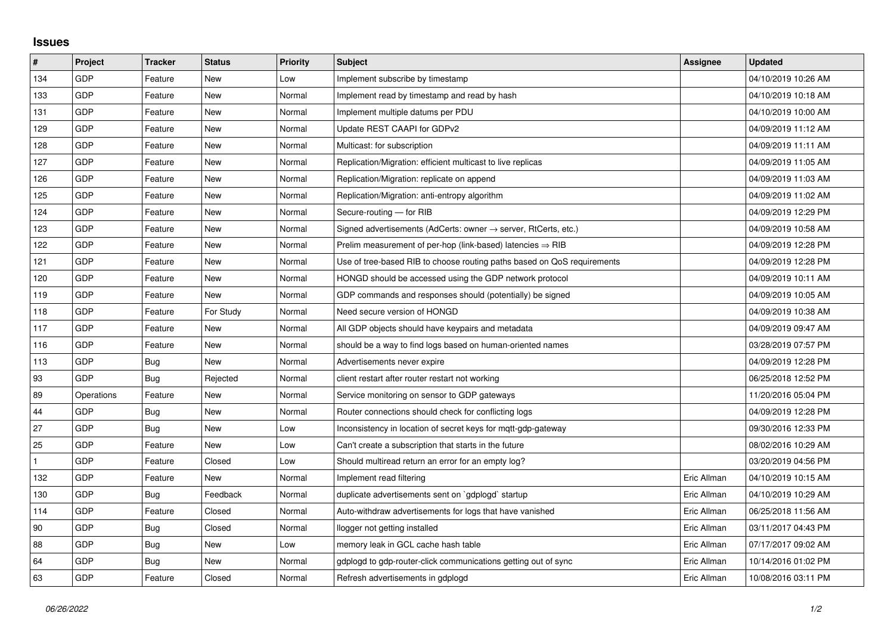## **Issues**

| #   | Project    | <b>Tracker</b> | <b>Status</b> | <b>Priority</b> | <b>Subject</b>                                                             | Assignee    | <b>Updated</b>      |
|-----|------------|----------------|---------------|-----------------|----------------------------------------------------------------------------|-------------|---------------------|
| 134 | GDP        | Feature        | <b>New</b>    | Low             | Implement subscribe by timestamp                                           |             | 04/10/2019 10:26 AM |
| 133 | GDP        | Feature        | New           | Normal          | Implement read by timestamp and read by hash                               |             | 04/10/2019 10:18 AM |
| 131 | GDP        | Feature        | New           | Normal          | Implement multiple datums per PDU                                          |             | 04/10/2019 10:00 AM |
| 129 | GDP        | Feature        | <b>New</b>    | Normal          | Update REST CAAPI for GDPv2                                                |             | 04/09/2019 11:12 AM |
| 128 | GDP        | Feature        | <b>New</b>    | Normal          | Multicast: for subscription                                                |             | 04/09/2019 11:11 AM |
| 127 | <b>GDP</b> | Feature        | New           | Normal          | Replication/Migration: efficient multicast to live replicas                |             | 04/09/2019 11:05 AM |
| 126 | GDP        | Feature        | <b>New</b>    | Normal          | Replication/Migration: replicate on append                                 |             | 04/09/2019 11:03 AM |
| 125 | GDP        | Feature        | New           | Normal          | Replication/Migration: anti-entropy algorithm                              |             | 04/09/2019 11:02 AM |
| 124 | GDP        | Feature        | New           | Normal          | Secure-routing - for RIB                                                   |             | 04/09/2019 12:29 PM |
| 123 | GDP        | Feature        | <b>New</b>    | Normal          | Signed advertisements (AdCerts: owner $\rightarrow$ server, RtCerts, etc.) |             | 04/09/2019 10:58 AM |
| 122 | GDP        | Feature        | New           | Normal          | Prelim measurement of per-hop (link-based) latencies $\Rightarrow$ RIB     |             | 04/09/2019 12:28 PM |
| 121 | GDP        | Feature        | New           | Normal          | Use of tree-based RIB to choose routing paths based on QoS requirements    |             | 04/09/2019 12:28 PM |
| 120 | GDP        | Feature        | <b>New</b>    | Normal          | HONGD should be accessed using the GDP network protocol                    |             | 04/09/2019 10:11 AM |
| 119 | GDP        | Feature        | New           | Normal          | GDP commands and responses should (potentially) be signed                  |             | 04/09/2019 10:05 AM |
| 118 | GDP        | Feature        | For Study     | Normal          | Need secure version of HONGD                                               |             | 04/09/2019 10:38 AM |
| 117 | GDP        | Feature        | New           | Normal          | All GDP objects should have keypairs and metadata                          |             | 04/09/2019 09:47 AM |
| 116 | GDP        | Feature        | New           | Normal          | should be a way to find logs based on human-oriented names                 |             | 03/28/2019 07:57 PM |
| 113 | GDP        | Bug            | New           | Normal          | Advertisements never expire                                                |             | 04/09/2019 12:28 PM |
| 93  | GDP        | Bug            | Rejected      | Normal          | client restart after router restart not working                            |             | 06/25/2018 12:52 PM |
| 89  | Operations | Feature        | New           | Normal          | Service monitoring on sensor to GDP gateways                               |             | 11/20/2016 05:04 PM |
| 44  | GDP        | Bug            | New           | Normal          | Router connections should check for conflicting logs                       |             | 04/09/2019 12:28 PM |
| 27  | GDP        | Bug            | <b>New</b>    | Low             | Inconsistency in location of secret keys for mgtt-gdp-gateway              |             | 09/30/2016 12:33 PM |
| 25  | GDP        | Feature        | New           | Low             | Can't create a subscription that starts in the future                      |             | 08/02/2016 10:29 AM |
|     | GDP        | Feature        | Closed        | Low             | Should multiread return an error for an empty log?                         |             | 03/20/2019 04:56 PM |
| 132 | GDP        | Feature        | New           | Normal          | Implement read filtering                                                   | Eric Allman | 04/10/2019 10:15 AM |
| 130 | GDP        | Bug            | Feedback      | Normal          | duplicate advertisements sent on `gdplogd` startup                         | Eric Allman | 04/10/2019 10:29 AM |
| 114 | GDP        | Feature        | Closed        | Normal          | Auto-withdraw advertisements for logs that have vanished                   | Eric Allman | 06/25/2018 11:56 AM |
| 90  | GDP        | Bug            | Closed        | Normal          | llogger not getting installed                                              | Eric Allman | 03/11/2017 04:43 PM |
| 88  | GDP        | <b>Bug</b>     | New           | Low             | memory leak in GCL cache hash table                                        | Eric Allman | 07/17/2017 09:02 AM |
| 64  | GDP        | Bug            | New           | Normal          | gdplogd to gdp-router-click communications getting out of sync             | Eric Allman | 10/14/2016 01:02 PM |
| 63  | GDP        | Feature        | Closed        | Normal          | Refresh advertisements in gdplogd                                          | Eric Allman | 10/08/2016 03:11 PM |